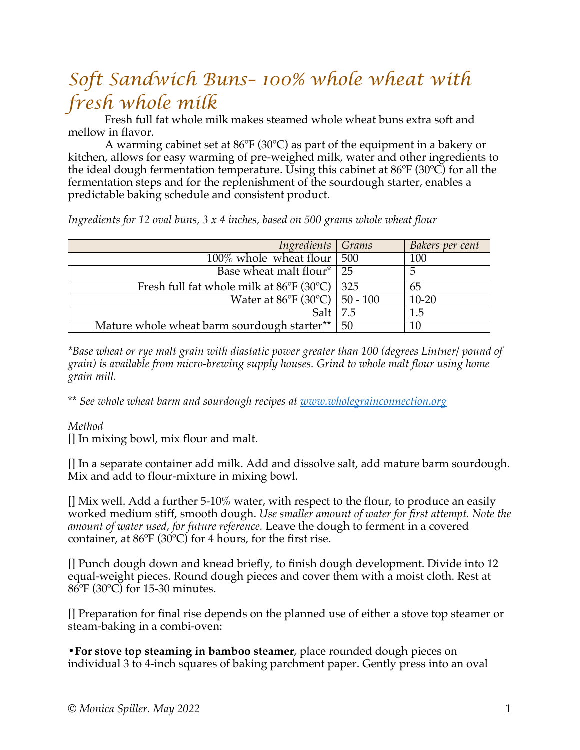## *Soft Sandwich Buns– 100% whole wheat with fresh whole milk*

Fresh full fat whole milk makes steamed whole wheat buns extra soft and mellow in flavor.

A warming cabinet set at 86ºF (30ºC) as part of the equipment in a bakery or kitchen, allows for easy warming of pre-weighed milk, water and other ingredients to the ideal dough fermentation temperature. Using this cabinet at 86ºF (30ºC) for all the fermentation steps and for the replenishment of the sourdough starter, enables a predictable baking schedule and consistent product.

*Ingredients for 12 oval buns, 3 x 4 inches, based on 500 grams whole wheat flour*

| Ingredients Grams                           |     | Bakers per cent |
|---------------------------------------------|-----|-----------------|
| $100\%$ whole wheat flour   500             |     | 100             |
| Base wheat malt flour <sup>*</sup> 25       |     |                 |
| Fresh full fat whole milk at 86°F (30°C)    | 325 | 65              |
| Water at 86°F (30°C)   50 - 100             |     | $10 - 20$       |
| Salt I                                      | 7.5 | 1.5             |
| Mature whole wheat barm sourdough starter** | 50  | 10              |

*\*Base wheat or rye malt grain with diastatic power greater than 100 (degrees Lintner/ pound of grain) is available from micro-brewing supply houses. Grind to whole malt flour using home grain mill.*

\*\* *See whole wheat barm and sourdough recipes at www.wholegrainconnection.org*

*Method*

[] In mixing bowl, mix flour and malt.

[] In a separate container add milk. Add and dissolve salt, add mature barm sourdough. Mix and add to flour-mixture in mixing bowl.

[] Mix well. Add a further 5-10% water, with respect to the flour, to produce an easily worked medium stiff, smooth dough. *Use smaller amount of water for first attempt. Note the amount of water used, for future reference.* Leave the dough to ferment in a covered container, at 86ºF (30ºC) for 4 hours, for the first rise.

[] Punch dough down and knead briefly, to finish dough development. Divide into 12 equal-weight pieces. Round dough pieces and cover them with a moist cloth. Rest at 86ºF (30ºC) for 15-30 minutes.

[] Preparation for final rise depends on the planned use of either a stove top steamer or steam-baking in a combi-oven:

**•For stove top steaming in bamboo steamer**, place rounded dough pieces on individual 3 to 4-inch squares of baking parchment paper. Gently press into an oval